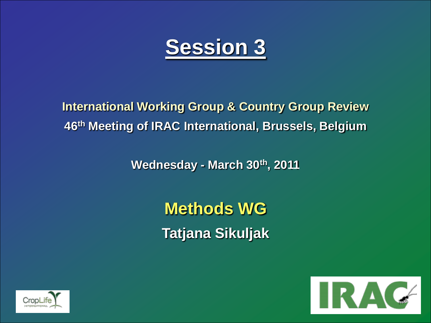

**International Working Group & Country Group Review 46th Meeting of IRAC International, Brussels, Belgium**

**Wednesday - March 30th, 2011**

**Methods WG Tatjana Sikuljak**



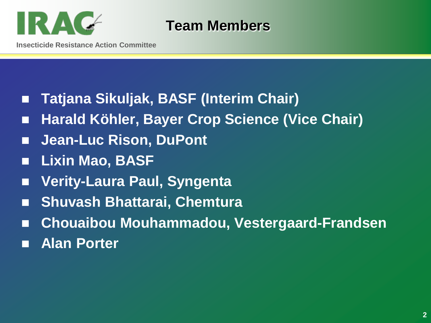

**Team Members**

- **Tatjana Sikuljak, BASF (Interim Chair)**
- Harald Köhler, Bayer Crop Science (Vice Chair)
- Jean-Luc Rison, DuPont
- **Lixin Mao, BASF**
- **Verity-Laura Paul, Syngenta**
- **Shuvash Bhattarai, Chemtura**
- **Chouaibou Mouhammadou, Vestergaard-Frandsen**
- **Alan Porter**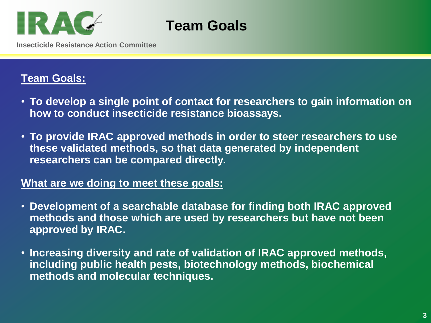

**Team Goals** 

**Insecticide Resistance Action Committee**

### **Team Goals:**

- **To develop a single point of contact for researchers to gain information on how to conduct insecticide resistance bioassays.**
- **To provide IRAC approved methods in order to steer researchers to use these validated methods, so that data generated by independent researchers can be compared directly.**

#### **What are we doing to meet these goals:**

- **Development of a searchable database for finding both IRAC approved methods and those which are used by researchers but have not been approved by IRAC.**
- **Increasing diversity and rate of validation of IRAC approved methods, including public health pests, biotechnology methods, biochemical methods and molecular techniques.**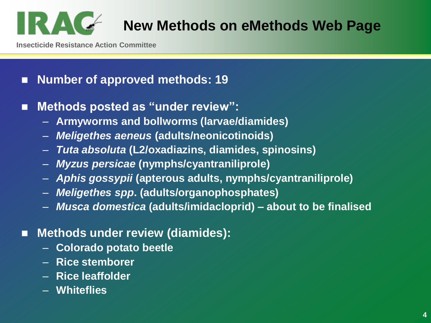

# **New Methods on eMethods Web Page**

**Insecticide Resistance Action Committee**

## **Number of approved methods: 19**

- Methods posted as "under review":
	- **Armyworms and bollworms (larvae/diamides)**
	- *Meligethes aeneus* **(adults/neonicotinoids)**
	- *Tuta absoluta* **(L2/oxadiazins, diamides, spinosins)**
	- *Myzus persicae* **(nymphs/cyantraniliprole)**
	- *Aphis gossypii* **(apterous adults, nymphs/cyantraniliprole)**
	- *Meligethes spp***. (adults/organophosphates)**
	- *Musca domestica* **(adults/imidacloprid) – about to be finalised**

## ■ Methods under review (diamides):

- **Colorado potato beetle**
- **Rice stemborer**
- **Rice leaffolder**
- **Whiteflies**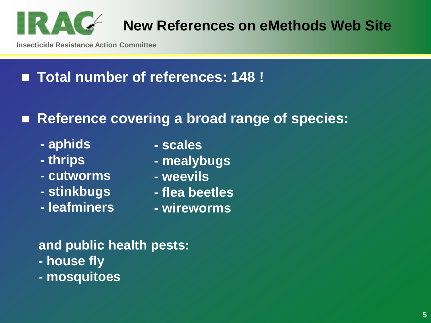

**Insecticide Resistance Action Committee**

## **Total number of references: 148 !**

## ■ Reference covering a broad range of species:

- **- aphids**
- **- thrips**
- **- cutworms**
- **- stinkbugs**
- **- leafminers**
- **- scales**
- **- mealybugs**
- **- weevils**
- **- flea beetles**
- **- wireworms**

## **and public health pests:**

- **- house fly**
- **- mosquitoes**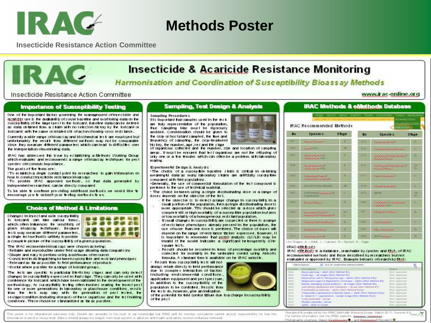

IRAC

## **Methods Poster**

**Insecticide Resistance Action Committee** 

### **Insecticide & Acaricide Resistance Monitoring**

Harmonisation and Coordination of Susceptibility Bioassay Methods

Insecticide Resistance Action Committee

#### **Importance of Susceptibility Testing**

One of the important factors governing. Its management offreedidde and acaddite use is the availability of sound baseline and mortioring data on the susceptivity of the large (pesitio the losician). Baseline dialacan be defined as data obtained from a sitain with no selection history by the foricant or loidcants with the same or related site of action showing cross resistance.

Currently a wide range of bloassay and blochemical lest are employed bulunforkmalely. The result from different methods may not be comparable. strice. They measure different parameters which can lead to difficultes over the interpretation ofmonitoing data.

IRAC has aldressed his issue by establishing a Methods Working Group. which evaluates and recommends a range orbitansay techniques for pesispecies ofeconomic importance.

The goals of the team are:

"To establish a single contact point for researchers to gain information on how to conduct three: lighter rests lance bloassays.

. To provide IRAC approved methods, so that data generated by independent researched can be directly compared.

To be able to continue providing additional methods we would like to encourage you to cubmit your techno methods to us.

#### **Choice of Method & Limitations**

Changes in insectional mile susceptibility lo loxicant can lake various forms. which often induences the sensitivity of given bloassay lechniques. Because les is may measure different parameters. a single les line hod is urlikely to provide

a complete picture of the susceptibility of a given population.

- The IRAC recomended bloats ays were chosen as being: · Reliable and reproducible under feld usage alowing data comparisons. . Simple and easy to perform using a minimum ofresources
- . Consistent in distinguishing between susceptible and resistant phenotypes. · Relevant as the as possible to feld performance of products

· Useful where possible for a range of loxicani groups.

The lests are specific to particular life-fisiony stages and can only delect changes in susceptivity expressed in that slage. They can only be used with comidence for losicant which have been validated in the development of the methodology. As supportfully lesting otten involves reading the insect pestifor one or more generations in laboratory or glasshouse conditions, results form the lests may vary with the generation of pest lested, the sexiage/condition (induding disease) of these organisms and the les lihokling conditions. These should be sibndardized as for as possible.

#### **Sampling, Test Design & Analysis**

#### **Sampling Procedure c**

Ills important that samples used in the lest. are huly representative of the population, two camping blac must be dgorously avoided. Consideration should be given to the crop or host plant sampled, the time and tequency of sampling, the crop-teatment his lory, the number, age, sex and the slage

of organisms collected and the number, size and location of sampling areas. Il must be ensured that lest organisms are not the offspring of only one or a thw temples which can onen be a problem with laboratory. reading.

Experimental De dign & Analydic

. The choice of a susceptible baseline sitain is critical in obtaining meanings) data as many laboratory shairs are artificially surgeptitie. compared with feld populations.

·Generally, the use of commercial formulation of the lest compound is preferred to the use of lechnical material.

. The choice between using a single discriminaling dose or a range of doses depends on the objective of the lest.

- If the objective is to detect a large change in susceptivity in a small portion of the population, then a strute discriminating dose is: more appropriate. This should be selected as a dose which gives: comple E kill or high mortally of a susceptible population bul zero. or low mortallity of a homogeneous resistant population.
- If small changes in susceptibility are suspecied or there is a range. of resistance phenotypes aiready present in the population, the use of more than one dose is preferred. The choice of doses will depend on the range of rests lance factors expressed. However, 11, is important to remember that pushit analysis (LC/LD) may be Invalid it he model indicates a significant helerogeretty (Chicause lech.
- Result should be recorded in lemis of percentage mortally and corrected for mortally in the unteated contrd using Abbolisformula. A sibindard form is available on the IRAC website.

Result form susceptivity lests will not

always relate directly to field performance. due to complex interaction of factors Including environmental conditions. application equipment and per (pressure, in addition to the susceptibility of the population to be controlled. Results than the les is do, however, give an indication

of the polenital for field control failure due to a charge in suppeptibility. of the peol.

**IRAC Methods & eMethods Database** 

www.irac-online.org

| <b>Mo</b>        | Specie c                                                                         | 0thue   | <b>No</b>      | Specie c                                            | $0$ thue    |
|------------------|----------------------------------------------------------------------------------|---------|----------------|-----------------------------------------------------|-------------|
| m                | <b>MAX PARAME</b>                                                                | ×       | <b>Carried</b> | <b><i>SARAHA KA</i></b>                             | ۰           |
| <b>IKU</b>       | <b>CASCILLE</b>                                                                  | œ       | <b>TATA</b>    | <u>na pangangan pang mang</u>                       | ı           |
| m                | <b><i><u>RADIO CONTRACTORES</u></i></b><br><b><i><u>PARAMARA ST</u></i></b>      | ı.      | <b>BYY'S</b>   | <u> Sanda da Sanda ya Ta</u><br><b>SAND STATE</b>   | ٠           |
| <b>DOM:</b>      | <b><i><i><u><b>DOMANNENT</b></u></i></i></b><br><b><i><u>CONSTANTING</u></i></b> | ۰       | <b>GYTES</b>   | <u> Salaman ang pagang</u><br><b><i>SAARAAN</i></b> | $\sim$<br>ю |
| <b>DATE</b>      | <b><i><u>RANAAN RAN</u></i></b><br><b><i><u>NAMA AWAY BURGARAW</u></i></b>       | ۰       | 1477           | <b>SANDARD COMPOS</b>                               | c           |
| 1971             | <b>BOTH FIVOLET ROOMS</b>                                                        | m       | 19791          | <b><i><u>AMANDARE</u></i></b>                       | c           |
| <b>GALLY</b>     | <b>STATE CONTROL SUBJECTS OF</b><br><b>Exposurance</b>                           | ٠       | <b>GREEK</b>   | <b>NATION</b>                                       | ×           |
| 14.61            | <b><i><u>PARADORA A</u></i></b>                                                  | ۰       | <b>FEET</b>    | <b>SAMARA SHARAL</b><br><b><i>PARKERS</i></b>       | ε           |
| <b>Selection</b> | <b><i><u>PARAMAN MARY</u></i></b><br><u>anas anas anas anas </u>                 | u.<br>c | <b>SOFT</b>    | <b>SAMARA MARA</b>                                  | ×           |
| 39181            | <b><i><u>PARAMANA PARAMAN</u></i></b>                                            | ۰       | <b>INCO</b>    | <b>SANDARY</b>                                      | ı           |
| <b>SATIS</b>     | <b><i><u>ANGLIA MAGINIA</u></i></b>                                              | ۰       | <b>ISCO</b>    | <b><i>MARKWAY</i></b>                               |             |
| <b>SEE LO</b>    | <b>SALARANA</b>                                                                  | ۰       | 1127           | <b>STRANGER</b>                                     | ٠           |

Uni Stagen: A - Adah, L - Lacyan, N - Nyrhatt, E - frage

#### IRAC eMethods

IRAC ette bods is a database, searchable by species and that, of IRAC recommended me hods and those described by researchers but not evaluated or approved by IRAC. Example below)s ofsearch by MaA:

| (8) 14-5 EB . System hydrog actions a situate<br>Her boy Higgs and - |                                                                                                                          |                               |  |
|----------------------------------------------------------------------|--------------------------------------------------------------------------------------------------------------------------|-------------------------------|--|
|                                                                      |                                                                                                                          | <b>STARTING</b>               |  |
|                                                                      | Marian pervisues / Allah (High Method P2)                                                                                | MONT. Address to the          |  |
|                                                                      |                                                                                                                          | WHAT Aggressional             |  |
|                                                                      | Farningcliss clin & Tallratchbus spp. / adults (Stac Nathod Plac)                                                        | William acknowledge           |  |
|                                                                      | INTENSIONAL LOANS & RealFollotter, CAVIN Mark + AIR/AV CRAC PRATICULARS                                                  | WHO ASSESSED                  |  |
|                                                                      | Beached, Karlmourny (41094) products 1 of chapes (1814) Martins #121                                                     | <b>Braf</b> Applicant         |  |
|                                                                      | Lew wanting Lautillations and Coleboratic - Lancar CRAC Meriton #TJ                                                      | Wind, Apprenant               |  |
|                                                                      | Francistada sciolantáte - adults (Mail Herbost #104)                                                                     | <b>Wind: Westfried !!</b>     |  |
|                                                                      | Trainscription concernments in demolia lotion in adult (that matted #13.4)                                               | <b>Bial Approved</b>          |  |
|                                                                      | B. Talkeri & T. Vigorrehatura / Install & Aga (Stad Helfred #1212)                                                       | <b>Mont.</b> All and a series |  |
|                                                                      | and and the contract of the property of the contract of the contract of the contract of<br>Confia portografia - tatican- | World Appropriated            |  |
|                                                                      | Phytolita institutionita > lastnase                                                                                      | <b>SINC ASSASSES</b>          |  |
|                                                                      | Address to Robert Address.                                                                                               | <b>Bill Address</b>           |  |

The poster is for dilucational surprises only. Details are accurate to the block of ear knowledge but 1990 and its member companies cannot record responsibility for time time imposition is used or intege inted. Adve a sheald always but leaght from local equation where the advertising and health and safety recommendations holdswed.

÷.

Designed & juncketed by the IPAC Wathods Werking Group, March 2011, Vietner 413 Council For turther intermation with the UWC with the Sociology, Sociology Photographs courting: Steven CoadSoccesco · and Responsived Plan partir O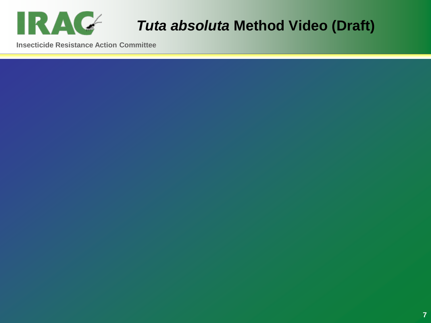

# **Tuta absoluta Method Video (Draft)**

**Insecticide Resistance Action Committee**